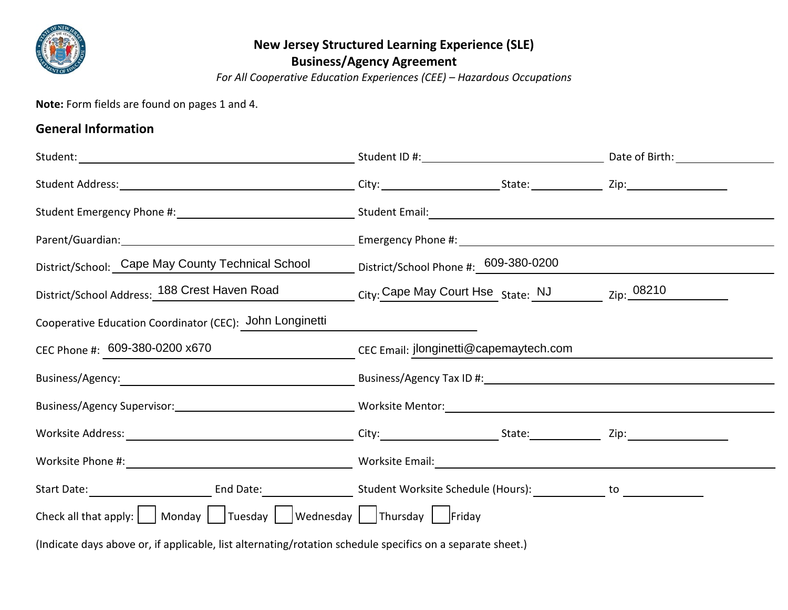

## **New Jersey Structured Learning Experience (SLE) Business/Agency Agreement**

*For All Cooperative Education Experiences (CEE) – Hazardous Occupations*

**Note:** Form fields are found on pages 1 and 4.

## **General Information**

|                                                                                                                                                                                                                                                    | District/School: Cape May County Technical School District/School Phone #: 609-380-0200 |  |  |  |
|----------------------------------------------------------------------------------------------------------------------------------------------------------------------------------------------------------------------------------------------------|-----------------------------------------------------------------------------------------|--|--|--|
| District/School Address: 188 Crest Haven Road City: Cape May Court Hse State: NJ Zip: 08210                                                                                                                                                        |                                                                                         |  |  |  |
| Cooperative Education Coordinator (CEC): John Longinetti                                                                                                                                                                                           |                                                                                         |  |  |  |
| CEC Phone #: 609-380-0200 x670                                                                                                                                                                                                                     | CEC Email: jlonginetti@capemaytech.com                                                  |  |  |  |
|                                                                                                                                                                                                                                                    |                                                                                         |  |  |  |
|                                                                                                                                                                                                                                                    |                                                                                         |  |  |  |
|                                                                                                                                                                                                                                                    |                                                                                         |  |  |  |
|                                                                                                                                                                                                                                                    |                                                                                         |  |  |  |
|                                                                                                                                                                                                                                                    |                                                                                         |  |  |  |
| Check all that apply: $\begin{vmatrix} 1 & 1 \\ 0 & 1 \end{vmatrix}$ Monday $\begin{vmatrix} 1 & 1 \\ 0 & 1 \end{vmatrix}$ Wednesday $\begin{vmatrix} 1 & 1 \\ 0 & 1 \end{vmatrix}$ Thursday $\begin{vmatrix} 1 & 1 \\ 0 & 1 \end{vmatrix}$ Friday |                                                                                         |  |  |  |
| (Indicate days above or, if applicable, list alternating/rotation schedule specifics on a separate sheet.)                                                                                                                                         |                                                                                         |  |  |  |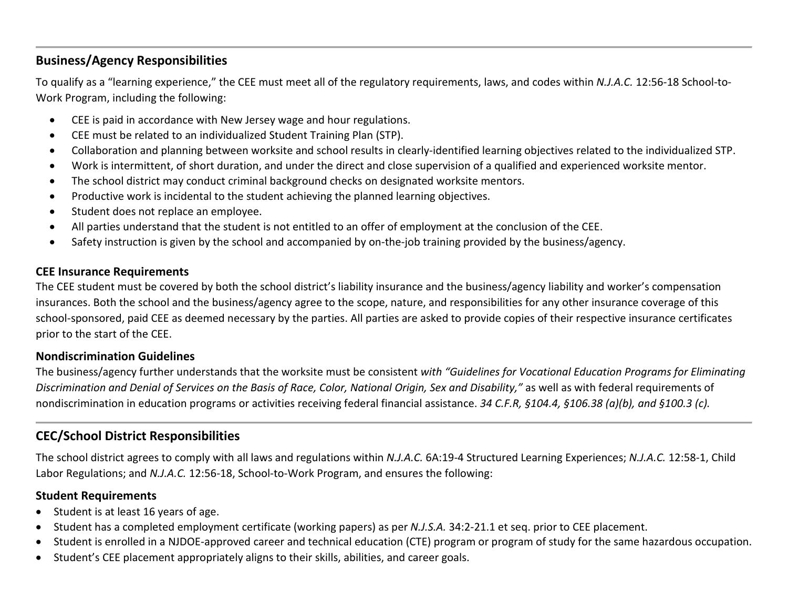## **Business/Agency Responsibilities**

To qualify as a "learning experience," the CEE must meet all of the regulatory requirements, laws, and codes within *N.J.A.C.* 12:56-18 School-to-Work Program, including the following:

- CEE is paid in accordance with New Jersey wage and hour regulations.
- CEE must be related to an individualized Student Training Plan (STP).
- Collaboration and planning between worksite and school results in clearly-identified learning objectives related to the individualized STP.
- Work is intermittent, of short duration, and under the direct and close supervision of a qualified and experienced worksite mentor.
- The school district may conduct criminal background checks on designated worksite mentors.
- Productive work is incidental to the student achieving the planned learning objectives.
- Student does not replace an employee.
- All parties understand that the student is not entitled to an offer of employment at the conclusion of the CEE.
- Safety instruction is given by the school and accompanied by on-the-job training provided by the business/agency.

#### **CEE Insurance Requirements**

The CEE student must be covered by both the school district's liability insurance and the business/agency liability and worker's compensation insurances. Both the school and the business/agency agree to the scope, nature, and responsibilities for any other insurance coverage of this school-sponsored, paid CEE as deemed necessary by the parties. All parties are asked to provide copies of their respective insurance certificates prior to the start of the CEE.

#### **Nondiscrimination Guidelines**

The business/agency further understands that the worksite must be consistent *with "Guidelines for Vocational Education Programs for Eliminating Discrimination and Denial of Services on the Basis of Race, Color, National Origin, Sex and Disability,"* as well as with federal requirements of nondiscrimination in education programs or activities receiving federal financial assistance. *34 C.F.R, §104.4, §106.38 (a)(b), and §100.3 (c).*

## **CEC/School District Responsibilities**

The school district agrees to comply with all laws and regulations within *N.J.A.C.* 6A:19-4 Structured Learning Experiences; *N.J.A.C.* 12:58-1, Child Labor Regulations; and *N.J.A.C.* 12:56-18, School-to-Work Program, and ensures the following:

#### **Student Requirements**

- Student is at least 16 years of age.
- Student has a completed employment certificate (working papers) as per *N.J.S.A.* 34:2-21.1 et seq. prior to CEE placement.
- Student is enrolled in a NJDOE-approved career and technical education (CTE) program or program of study for the same hazardous occupation.
- Student's CEE placement appropriately aligns to their skills, abilities, and career goals.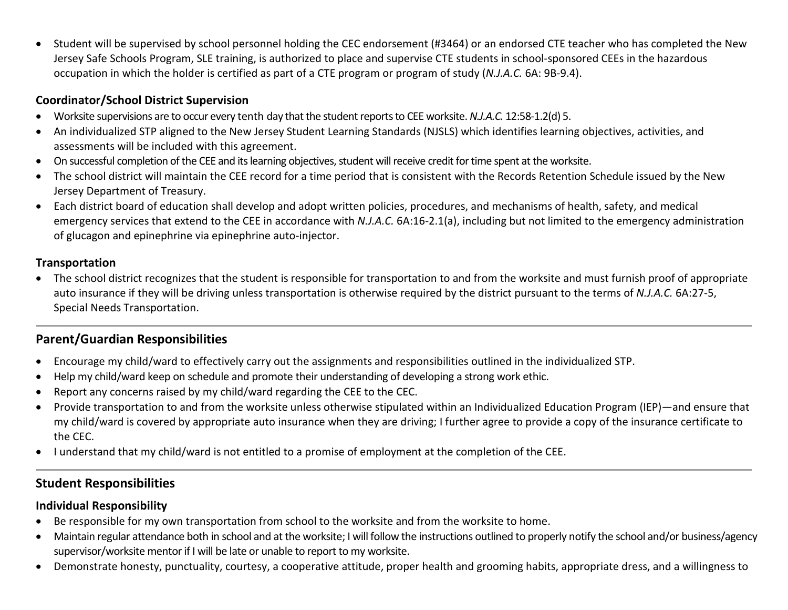• Student will be supervised by school personnel holding the CEC endorsement (#3464) or an endorsed CTE teacher who has completed the New Jersey Safe Schools Program, SLE training, is authorized to place and supervise CTE students in school-sponsored CEEs in the hazardous occupation in which the holder is certified as part of a CTE program or program of study (*N.J.A.C.* 6A: 9B-9.4).

### **Coordinator/School District Supervision**

- Worksite supervisions are to occur every tenth day that the student reports to CEE worksite. *N.J.A.C.* 12:58-1.2(d) 5.
- An individualized STP aligned to the New Jersey Student Learning Standards (NJSLS) which identifies learning objectives, activities, and assessments will be included with this agreement.
- On successful completion of the CEE and its learning objectives, student will receive credit for time spent at the worksite.
- The school district will maintain the CEE record for a time period that is consistent with the Records Retention Schedule issued by the New Jersey Department of Treasury.
- Each district board of education shall develop and adopt written policies, procedures, and mechanisms of health, safety, and medical emergency services that extend to the CEE in accordance with *N.J.A.C.* 6A:16-2.1(a), including but not limited to the emergency administration of glucagon and epinephrine via epinephrine auto-injector.

### **Transportation**

• The school district recognizes that the student is responsible for transportation to and from the worksite and must furnish proof of appropriate auto insurance if they will be driving unless transportation is otherwise required by the district pursuant to the terms of *N.J.A.C.* 6A:27-5, Special Needs Transportation.

# **Parent/Guardian Responsibilities**

- Encourage my child/ward to effectively carry out the assignments and responsibilities outlined in the individualized STP.
- Help my child/ward keep on schedule and promote their understanding of developing a strong work ethic.
- Report any concerns raised by my child/ward regarding the CEE to the CEC.
- Provide transportation to and from the worksite unless otherwise stipulated within an Individualized Education Program (IEP)—and ensure that my child/ward is covered by appropriate auto insurance when they are driving; I further agree to provide a copy of the insurance certificate to the CEC.
- I understand that my child/ward is not entitled to a promise of employment at the completion of the CEE.

# **Student Responsibilities**

### **Individual Responsibility**

- Be responsible for my own transportation from school to the worksite and from the worksite to home.
- Maintain regular attendance both in school and at the worksite; I will follow the instructions outlined to properly notify the school and/or business/agency supervisor/worksite mentor if I will be late or unable to report to my worksite.
- Demonstrate honesty, punctuality, courtesy, a cooperative attitude, proper health and grooming habits, appropriate dress, and a willingness to